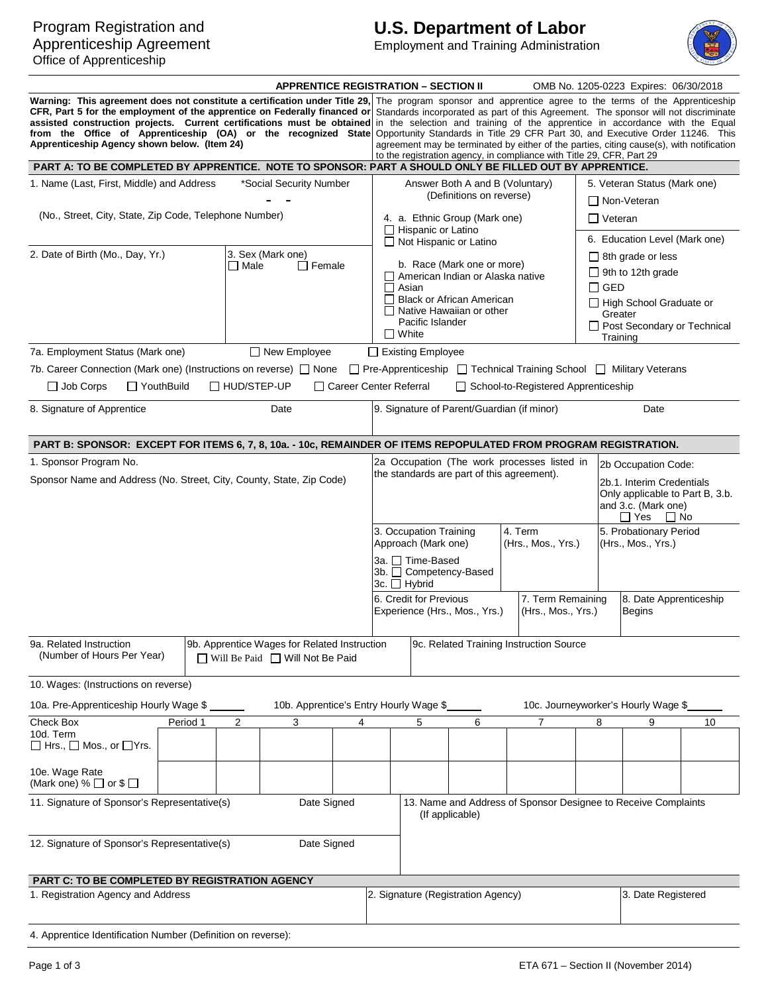### Program Registration and Apprenticeship Agreement Office of Apprenticeship

# **U.S. Department of Labor**

Employment and Training Administration



|                                                                                                                                                                                                                                                                                                                                                                                                                                                                                                                                                                                                                                                                                                                                                                                                                                                              |                                                                                          |                   | <b>APPRENTICE REGISTRATION - SECTION II</b>                                       |                          |                                                                                        |                                                                                                            |                                 |                                                                      |                                           | OMB No. 1205-0223 Expires: 06/30/2018                          |    |
|--------------------------------------------------------------------------------------------------------------------------------------------------------------------------------------------------------------------------------------------------------------------------------------------------------------------------------------------------------------------------------------------------------------------------------------------------------------------------------------------------------------------------------------------------------------------------------------------------------------------------------------------------------------------------------------------------------------------------------------------------------------------------------------------------------------------------------------------------------------|------------------------------------------------------------------------------------------|-------------------|-----------------------------------------------------------------------------------|--------------------------|----------------------------------------------------------------------------------------|------------------------------------------------------------------------------------------------------------|---------------------------------|----------------------------------------------------------------------|-------------------------------------------|----------------------------------------------------------------|----|
| Warning: This agreement does not constitute a certification under Title 29, The program sponsor and apprentice agree to the terms of the Apprenticeship<br>CFR, Part 5 for the employment of the apprentice on Federally financed or Standards incorporated as part of this Agreement. The sponsor will not discriminate<br>assisted construction projects. Current certifications must be obtained<br>in the selection and training of the apprentice in accordance with the Equal<br>Opportunity Standards in Title 29 CFR Part 30, and Executive Order 11246. This<br>from the Office of Apprenticeship (OA) or the recognized State<br>Apprenticeship Agency shown below. (Item 24)<br>agreement may be terminated by either of the parties, citing cause(s), with notification<br>to the registration agency, in compliance with Title 29, CFR, Part 29 |                                                                                          |                   |                                                                                   |                          |                                                                                        |                                                                                                            |                                 |                                                                      |                                           |                                                                |    |
| PART A: TO BE COMPLETED BY APPRENTICE. NOTE TO SPONSOR: PART A SHOULD ONLY BE FILLED OUT BY APPRENTICE.                                                                                                                                                                                                                                                                                                                                                                                                                                                                                                                                                                                                                                                                                                                                                      |                                                                                          |                   |                                                                                   |                          |                                                                                        |                                                                                                            |                                 |                                                                      |                                           |                                                                |    |
| 1. Name (Last, First, Middle) and Address                                                                                                                                                                                                                                                                                                                                                                                                                                                                                                                                                                                                                                                                                                                                                                                                                    |                                                                                          |                   | *Social Security Number                                                           |                          |                                                                                        |                                                                                                            | Answer Both A and B (Voluntary) |                                                                      |                                           | 5. Veteran Status (Mark one)                                   |    |
|                                                                                                                                                                                                                                                                                                                                                                                                                                                                                                                                                                                                                                                                                                                                                                                                                                                              |                                                                                          |                   |                                                                                   |                          |                                                                                        |                                                                                                            | (Definitions on reverse)        |                                                                      |                                           | □ Non-Veteran                                                  |    |
| (No., Street, City, State, Zip Code, Telephone Number)                                                                                                                                                                                                                                                                                                                                                                                                                                                                                                                                                                                                                                                                                                                                                                                                       |                                                                                          |                   |                                                                                   |                          | 4. a. Ethnic Group (Mark one)                                                          |                                                                                                            |                                 |                                                                      | <b>□</b> Veteran                          |                                                                |    |
|                                                                                                                                                                                                                                                                                                                                                                                                                                                                                                                                                                                                                                                                                                                                                                                                                                                              |                                                                                          |                   |                                                                                   |                          | $\Box$ Hispanic or Latino<br>Not Hispanic or Latino                                    |                                                                                                            |                                 |                                                                      | 6. Education Level (Mark one)             |                                                                |    |
| 2. Date of Birth (Mo., Day, Yr.)                                                                                                                                                                                                                                                                                                                                                                                                                                                                                                                                                                                                                                                                                                                                                                                                                             |                                                                                          | 3. Sex (Mark one) |                                                                                   |                          |                                                                                        |                                                                                                            |                                 |                                                                      | $\Box$ 8th grade or less                  |                                                                |    |
|                                                                                                                                                                                                                                                                                                                                                                                                                                                                                                                                                                                                                                                                                                                                                                                                                                                              |                                                                                          | $\Box$ Male       | $\Box$ Female                                                                     |                          |                                                                                        | b. Race (Mark one or more)                                                                                 |                                 |                                                                      | $\Box$ 9th to 12th grade                  |                                                                |    |
|                                                                                                                                                                                                                                                                                                                                                                                                                                                                                                                                                                                                                                                                                                                                                                                                                                                              |                                                                                          |                   |                                                                                   |                          | □ American Indian or Alaska native<br>$\Box$ Asian<br>$\Box$ Black or African American |                                                                                                            |                                 |                                                                      | $\Box$ GED                                |                                                                |    |
|                                                                                                                                                                                                                                                                                                                                                                                                                                                                                                                                                                                                                                                                                                                                                                                                                                                              |                                                                                          |                   |                                                                                   |                          |                                                                                        |                                                                                                            |                                 |                                                                      | □ High School Graduate or                 |                                                                |    |
|                                                                                                                                                                                                                                                                                                                                                                                                                                                                                                                                                                                                                                                                                                                                                                                                                                                              |                                                                                          |                   |                                                                                   |                          | $\Box$ Native Hawaiian or other<br>Pacific Islander                                    |                                                                                                            |                                 |                                                                      | Greater                                   |                                                                |    |
|                                                                                                                                                                                                                                                                                                                                                                                                                                                                                                                                                                                                                                                                                                                                                                                                                                                              |                                                                                          |                   |                                                                                   |                          | $\Box$ White                                                                           |                                                                                                            |                                 |                                                                      | □ Post Secondary or Technical<br>Training |                                                                |    |
| 7a. Employment Status (Mark one)                                                                                                                                                                                                                                                                                                                                                                                                                                                                                                                                                                                                                                                                                                                                                                                                                             |                                                                                          |                   | $\Box$ New Employee                                                               |                          |                                                                                        | Existing Employee                                                                                          |                                 |                                                                      |                                           |                                                                |    |
| 7b. Career Connection (Mark one) (Instructions on reverse) $\Box$ None                                                                                                                                                                                                                                                                                                                                                                                                                                                                                                                                                                                                                                                                                                                                                                                       |                                                                                          |                   |                                                                                   |                          |                                                                                        |                                                                                                            |                                 | □ Pre-Apprenticeship □ Technical Training School □ Military Veterans |                                           |                                                                |    |
| $\Box$ Job Corps                                                                                                                                                                                                                                                                                                                                                                                                                                                                                                                                                                                                                                                                                                                                                                                                                                             | $\Box$ YouthBuild                                                                        | □ HUD/STEP-UP     |                                                                                   | □ Career Center Referral |                                                                                        |                                                                                                            |                                 | □ School-to-Registered Apprenticeship                                |                                           |                                                                |    |
|                                                                                                                                                                                                                                                                                                                                                                                                                                                                                                                                                                                                                                                                                                                                                                                                                                                              |                                                                                          |                   |                                                                                   |                          |                                                                                        |                                                                                                            |                                 |                                                                      |                                           |                                                                |    |
|                                                                                                                                                                                                                                                                                                                                                                                                                                                                                                                                                                                                                                                                                                                                                                                                                                                              | 9. Signature of Parent/Guardian (if minor)<br>8. Signature of Apprentice<br>Date<br>Date |                   |                                                                                   |                          |                                                                                        |                                                                                                            |                                 |                                                                      |                                           |                                                                |    |
| PART B: SPONSOR: EXCEPT FOR ITEMS 6, 7, 8, 10a. - 10c, REMAINDER OF ITEMS REPOPULATED FROM PROGRAM REGISTRATION.                                                                                                                                                                                                                                                                                                                                                                                                                                                                                                                                                                                                                                                                                                                                             |                                                                                          |                   |                                                                                   |                          |                                                                                        |                                                                                                            |                                 |                                                                      |                                           |                                                                |    |
| 1. Sponsor Program No.                                                                                                                                                                                                                                                                                                                                                                                                                                                                                                                                                                                                                                                                                                                                                                                                                                       |                                                                                          |                   |                                                                                   |                          |                                                                                        |                                                                                                            |                                 | 2a Occupation (The work processes listed in                          |                                           | 2b Occupation Code:                                            |    |
| Sponsor Name and Address (No. Street, City, County, State, Zip Code)                                                                                                                                                                                                                                                                                                                                                                                                                                                                                                                                                                                                                                                                                                                                                                                         |                                                                                          |                   |                                                                                   |                          |                                                                                        | the standards are part of this agreement).<br>2b.1. Interim Credentials<br>Only applicable to Part B, 3.b. |                                 |                                                                      |                                           |                                                                |    |
|                                                                                                                                                                                                                                                                                                                                                                                                                                                                                                                                                                                                                                                                                                                                                                                                                                                              |                                                                                          |                   |                                                                                   |                          |                                                                                        |                                                                                                            |                                 |                                                                      |                                           | and 3.c. (Mark one)<br>□ Yes<br>∣ No<br>5. Probationary Period |    |
|                                                                                                                                                                                                                                                                                                                                                                                                                                                                                                                                                                                                                                                                                                                                                                                                                                                              |                                                                                          |                   |                                                                                   |                          |                                                                                        | 4. Term<br>3. Occupation Training<br>Approach (Mark one)<br>(Hrs., Mos., Yrs.)                             |                                 |                                                                      | (Hrs., Mos., Yrs.)                        |                                                                |    |
|                                                                                                                                                                                                                                                                                                                                                                                                                                                                                                                                                                                                                                                                                                                                                                                                                                                              |                                                                                          |                   |                                                                                   |                          |                                                                                        | 3a. □ Time-Based<br>3b. □ Competency-Based<br>3c. □ Hybrid                                                 |                                 |                                                                      |                                           |                                                                |    |
|                                                                                                                                                                                                                                                                                                                                                                                                                                                                                                                                                                                                                                                                                                                                                                                                                                                              |                                                                                          |                   |                                                                                   |                          |                                                                                        | 6. Credit for Previous<br>7. Term Remaining<br>Experience (Hrs., Mos., Yrs.)<br>(Hrs., Mos., Yrs.)         |                                 |                                                                      | 8. Date Apprenticeship<br><b>Begins</b>   |                                                                |    |
|                                                                                                                                                                                                                                                                                                                                                                                                                                                                                                                                                                                                                                                                                                                                                                                                                                                              |                                                                                          |                   |                                                                                   |                          |                                                                                        |                                                                                                            |                                 |                                                                      |                                           |                                                                |    |
| 9a. Related Instruction<br>(Number of Hours Per Year)                                                                                                                                                                                                                                                                                                                                                                                                                                                                                                                                                                                                                                                                                                                                                                                                        |                                                                                          |                   | 9b. Apprentice Wages for Related Instruction<br>□ Will Be Paid □ Will Not Be Paid |                          |                                                                                        |                                                                                                            |                                 | 9c. Related Training Instruction Source                              |                                           |                                                                |    |
| 10. Wages: (Instructions on reverse)                                                                                                                                                                                                                                                                                                                                                                                                                                                                                                                                                                                                                                                                                                                                                                                                                         |                                                                                          |                   |                                                                                   |                          |                                                                                        |                                                                                                            |                                 |                                                                      |                                           |                                                                |    |
| 10a. Pre-Apprenticeship Hourly Wage \$                                                                                                                                                                                                                                                                                                                                                                                                                                                                                                                                                                                                                                                                                                                                                                                                                       |                                                                                          |                   | 10b. Apprentice's Entry Hourly Wage \$                                            |                          |                                                                                        |                                                                                                            |                                 |                                                                      |                                           | 10c. Journeyworker's Hourly Wage \$                            |    |
| Check Box<br>10d. Term                                                                                                                                                                                                                                                                                                                                                                                                                                                                                                                                                                                                                                                                                                                                                                                                                                       | Period 1                                                                                 | 2                 | 3                                                                                 | 4                        |                                                                                        | 5                                                                                                          | 6                               | 7                                                                    | 8                                         | 9                                                              | 10 |
| $\Box$ Hrs., $\Box$ Mos., or $\Box$ Yrs.                                                                                                                                                                                                                                                                                                                                                                                                                                                                                                                                                                                                                                                                                                                                                                                                                     |                                                                                          |                   |                                                                                   |                          |                                                                                        |                                                                                                            |                                 |                                                                      |                                           |                                                                |    |
| 10e. Wage Rate<br>(Mark one) % $\Box$ or \$ $\Box$                                                                                                                                                                                                                                                                                                                                                                                                                                                                                                                                                                                                                                                                                                                                                                                                           |                                                                                          |                   |                                                                                   |                          |                                                                                        |                                                                                                            |                                 |                                                                      |                                           |                                                                |    |
| 11. Signature of Sponsor's Representative(s)<br>Date Signed                                                                                                                                                                                                                                                                                                                                                                                                                                                                                                                                                                                                                                                                                                                                                                                                  |                                                                                          |                   |                                                                                   |                          |                                                                                        |                                                                                                            |                                 |                                                                      |                                           |                                                                |    |
|                                                                                                                                                                                                                                                                                                                                                                                                                                                                                                                                                                                                                                                                                                                                                                                                                                                              |                                                                                          |                   |                                                                                   |                          | 13. Name and Address of Sponsor Designee to Receive Complaints<br>(If applicable)      |                                                                                                            |                                 |                                                                      |                                           |                                                                |    |
| Date Signed<br>12. Signature of Sponsor's Representative(s)                                                                                                                                                                                                                                                                                                                                                                                                                                                                                                                                                                                                                                                                                                                                                                                                  |                                                                                          |                   |                                                                                   |                          |                                                                                        |                                                                                                            |                                 |                                                                      |                                           |                                                                |    |
| PART C: TO BE COMPLETED BY REGISTRATION AGENCY                                                                                                                                                                                                                                                                                                                                                                                                                                                                                                                                                                                                                                                                                                                                                                                                               |                                                                                          |                   |                                                                                   |                          |                                                                                        |                                                                                                            |                                 |                                                                      |                                           |                                                                |    |
| 1. Registration Agency and Address                                                                                                                                                                                                                                                                                                                                                                                                                                                                                                                                                                                                                                                                                                                                                                                                                           |                                                                                          |                   |                                                                                   |                          | 2. Signature (Registration Agency)<br>3. Date Registered                               |                                                                                                            |                                 |                                                                      |                                           |                                                                |    |
|                                                                                                                                                                                                                                                                                                                                                                                                                                                                                                                                                                                                                                                                                                                                                                                                                                                              |                                                                                          |                   |                                                                                   |                          |                                                                                        |                                                                                                            |                                 |                                                                      |                                           |                                                                |    |

4. Apprentice Identification Number (Definition on reverse):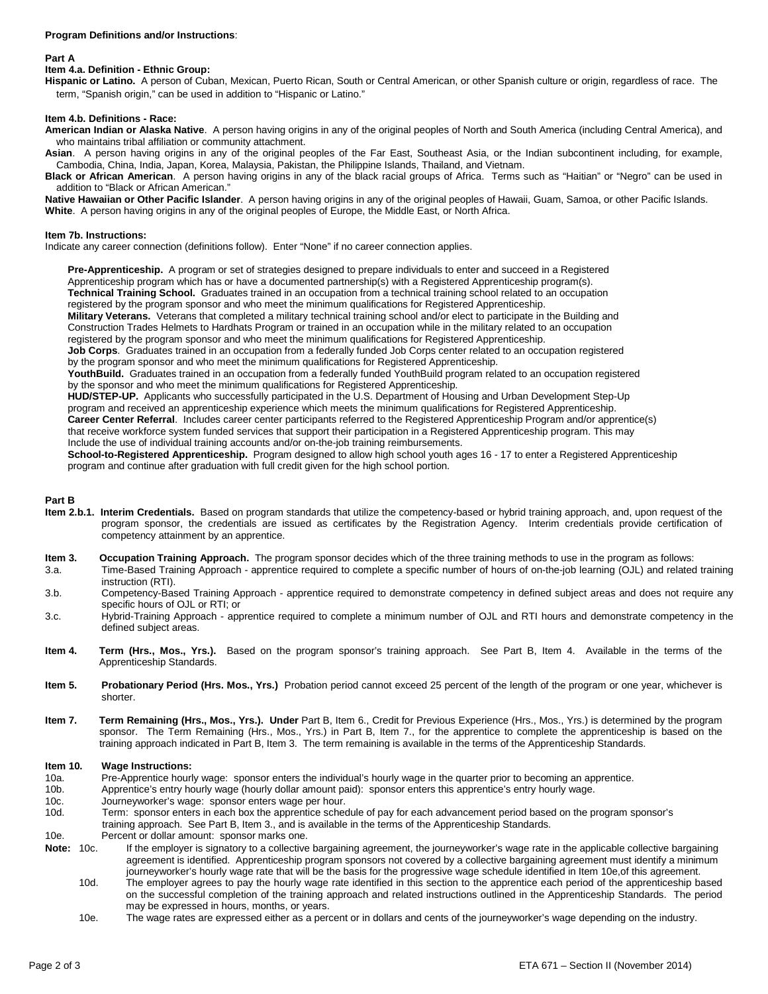#### **Program Definitions and/or Instructions**:

#### **Part A**

#### **Item 4.a. Definition - Ethnic Group:**

**Hispanic or Latino.** A person of Cuban, Mexican, Puerto Rican, South or Central American, or other Spanish culture or origin, regardless of race. The term, "Spanish origin," can be used in addition to "Hispanic or Latino."

#### **Item 4.b. Definitions - Race:**

**American Indian or Alaska Native**. A person having origins in any of the original peoples of North and South America (including Central America), and who maintains tribal affiliation or community attachment.

**Asian**. A person having origins in any of the original peoples of the Far East, Southeast Asia, or the Indian subcontinent including, for example, Cambodia, China, India, Japan, Korea, Malaysia, Pakistan, the Philippine Islands, Thailand, and Vietnam.

**Black or African American**. A person having origins in any of the black racial groups of Africa. Terms such as "Haitian" or "Negro" can be used in addition to "Black or African American."

**Native Hawaiian or Other Pacific Islander**. A person having origins in any of the original peoples of Hawaii, Guam, Samoa, or other Pacific Islands. **White**. A person having origins in any of the original peoples of Europe, the Middle East, or North Africa.

#### **Item 7b. Instructions:**

Indicate any career connection (definitions follow). Enter "None" if no career connection applies.

**Pre-Apprenticeship.** A program or set of strategies designed to prepare individuals to enter and succeed in a Registered Apprenticeship program which has or have a documented partnership(s) with a Registered Apprenticeship program(s).

**Technical Training School.** Graduates trained in an occupation from a technical training school related to an occupation

registered by the program sponsor and who meet the minimum qualifications for Registered Apprenticeship.

**Military Veterans.** Veterans that completed a military technical training school and/or elect to participate in the Building and Construction Trades Helmets to Hardhats Program or trained in an occupation while in the military related to an occupation

registered by the program sponsor and who meet the minimum qualifications for Registered Apprenticeship.

**Job Corps**. Graduates trained in an occupation from a federally funded Job Corps center related to an occupation registered by the program sponsor and who meet the minimum qualifications for Registered Apprenticeship.

**YouthBuild.** Graduates trained in an occupation from a federally funded YouthBuild program related to an occupation registered by the sponsor and who meet the minimum qualifications for Registered Apprenticeship.

**HUD/STEP-UP.** Applicants who successfully participated in the U.S. Department of Housing and Urban Development Step-Up program and received an apprenticeship experience which meets the minimum qualifications for Registered Apprenticeship. **Career Center Referral**. Includes career center participants referred to the Registered Apprenticeship Program and/or apprentice(s) that receive workforce system funded services that support their participation in a Registered Apprenticeship program. This may Include the use of individual training accounts and/or on-the-job training reimbursements.

**School-to-Registered Apprenticeship.** Program designed to allow high school youth ages 16 - 17 to enter a Registered Apprenticeship program and continue after graduation with full credit given for the high school portion.

#### **Part B**

- **Item 2.b.1. Interim Credentials.** Based on program standards that utilize the competency-based or hybrid training approach, and, upon request of the program sponsor, the credentials are issued as certificates by the Registration Agency. Interim credentials provide certification of competency attainment by an apprentice.
- **Item 3. Occupation Training Approach.** The program sponsor decides which of the three training methods to use in the program as follows:
- 3.a. Time-Based Training Approach apprentice required to complete a specific number of hours of on-the-job learning (OJL) and related training instruction (RTI).
- 3.b. Competency-Based Training Approach apprentice required to demonstrate competency in defined subject areas and does not require any specific hours of OJL or RTI; or
- 3.c. Hybrid-Training Approach apprentice required to complete a minimum number of OJL and RTI hours and demonstrate competency in the defined subject areas.
- **Item 4. Term (Hrs., Mos., Yrs.).** Based on the program sponsor's training approach. See Part B, Item 4. Available in the terms of the Apprenticeship Standards.
- **Item 5. Probationary Period (Hrs. Mos., Yrs.)** Probation period cannot exceed 25 percent of the length of the program or one year, whichever is shorter.
- **Item 7. Term Remaining (Hrs., Mos., Yrs.). Under** Part B, Item 6., Credit for Previous Experience (Hrs., Mos., Yrs.) is determined by the program sponsor. The Term Remaining (Hrs., Mos., Yrs.) in Part B, Item 7., for the apprentice to complete the apprenticeship is based on the training approach indicated in Part B, Item 3. The term remaining is available in the terms of the Apprenticeship Standards.

## **Item 10. Wage Instructions:**<br>10a. Pre-Apprentice hourl

Pre-Apprentice hourly wage: sponsor enters the individual's hourly wage in the quarter prior to becoming an apprentice.

10b. Apprentice's entry hourly wage (hourly dollar amount paid): sponsor enters this apprentice's entry hourly wage.<br>10c. Journeyworker's wage: sponsor enters wage per hour.

- 10c. Journeyworker's wage: sponsor enters wage per hour.<br>10d. Term: sponsor enters in each box the apprentice schee
- Term: sponsor enters in each box the apprentice schedule of pay for each advancement period based on the program sponsor's training approach. See Part B, Item 3., and is available in the terms of the Apprenticeship Standards.
- 10e. Percent or dollar amount: sponsor marks one.
- Note: 10c. If the employer is signatory to a collective bargaining agreement, the journeyworker's wage rate in the applicable collective bargaining agreement is identified. Apprenticeship program sponsors not covered by a collective bargaining agreement must identify a minimum journeyworker's hourly wage rate that will be the basis for the progressive wage schedule identified in Item 10e,of this agreement.
	- 10d. The employer agrees to pay the hourly wage rate identified in this section to the apprentice each period of the apprenticeship based on the successful completion of the training approach and related instructions outlined in the Apprenticeship Standards. The period may be expressed in hours, months, or years.
	- 10e. The wage rates are expressed either as a percent or in dollars and cents of the journeyworker's wage depending on the industry.